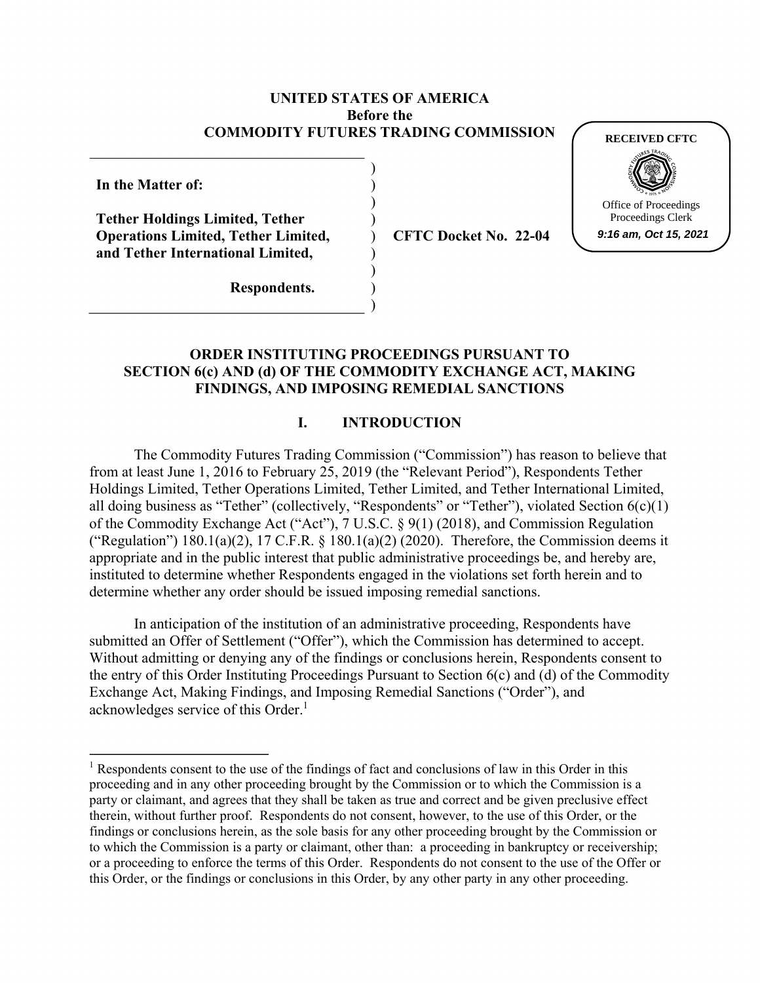#### **UNITED STATES OF AMERICA Before the COMMODITY FUTURES TRADING COMMISSION**

) ) ) ) ) ) ) ) )

**In the Matter of:** 

**Tether Holdings Limited, Tether Operations Limited, Tether Limited, and Tether International Limited,** 

**CFTC Docket No. 22-04**



**Respondents.**

### **ORDER INSTITUTING PROCEEDINGS PURSUANT TO SECTION 6(c) AND (d) OF THE COMMODITY EXCHANGE ACT, MAKING FINDINGS, AND IMPOSING REMEDIAL SANCTIONS**

### **I. INTRODUCTION**

The Commodity Futures Trading Commission ("Commission") has reason to believe that from at least June 1, 2016 to February 25, 2019 (the "Relevant Period"), Respondents Tether Holdings Limited, Tether Operations Limited, Tether Limited, and Tether International Limited, all doing business as "Tether" (collectively, "Respondents" or "Tether"), violated Section 6(c)(1) of the Commodity Exchange Act ("Act"), 7 U.S.C. § 9(1) (2018), and Commission Regulation ("Regulation") 180.1(a)(2), 17 C.F.R.  $\&$  180.1(a)(2) (2020). Therefore, the Commission deems it appropriate and in the public interest that public administrative proceedings be, and hereby are, instituted to determine whether Respondents engaged in the violations set forth herein and to determine whether any order should be issued imposing remedial sanctions.

In anticipation of the institution of an administrative proceeding, Respondents have submitted an Offer of Settlement ("Offer"), which the Commission has determined to accept. Without admitting or denying any of the findings or conclusions herein, Respondents consent to the entry of this Order Instituting Proceedings Pursuant to Section 6(c) and (d) of the Commodity Exchange Act, Making Findings, and Imposing Remedial Sanctions ("Order"), and acknowledges service of this Order.<sup>1</sup>

<sup>&</sup>lt;sup>1</sup> Respondents consent to the use of the findings of fact and conclusions of law in this Order in this proceeding and in any other proceeding brought by the Commission or to which the Commission is a party or claimant, and agrees that they shall be taken as true and correct and be given preclusive effect therein, without further proof. Respondents do not consent, however, to the use of this Order, or the findings or conclusions herein, as the sole basis for any other proceeding brought by the Commission or to which the Commission is a party or claimant, other than: a proceeding in bankruptcy or receivership; or a proceeding to enforce the terms of this Order. Respondents do not consent to the use of the Offer or this Order, or the findings or conclusions in this Order, by any other party in any other proceeding.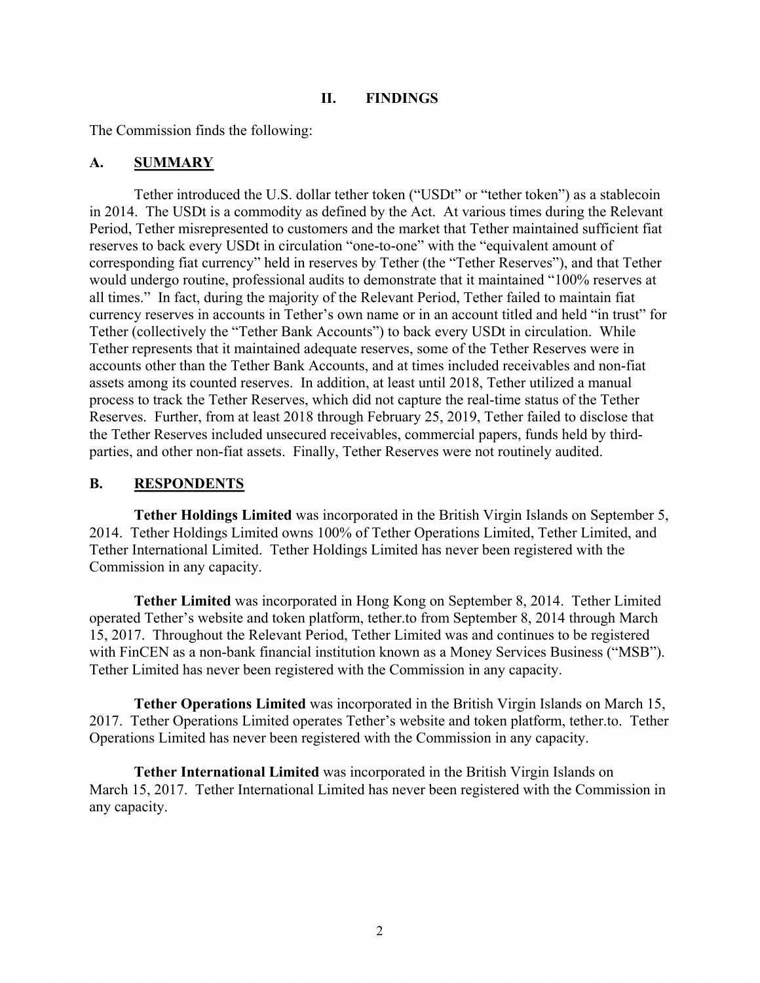### **II. FINDINGS**

The Commission finds the following:

# **A. SUMMARY**

Tether introduced the U.S. dollar tether token ("USDt" or "tether token") as a stablecoin in 2014. The USDt is a commodity as defined by the Act. At various times during the Relevant Period, Tether misrepresented to customers and the market that Tether maintained sufficient fiat reserves to back every USDt in circulation "one-to-one" with the "equivalent amount of corresponding fiat currency" held in reserves by Tether (the "Tether Reserves"), and that Tether would undergo routine, professional audits to demonstrate that it maintained "100% reserves at all times." In fact, during the majority of the Relevant Period, Tether failed to maintain fiat currency reserves in accounts in Tether's own name or in an account titled and held "in trust" for Tether (collectively the "Tether Bank Accounts") to back every USDt in circulation. While Tether represents that it maintained adequate reserves, some of the Tether Reserves were in accounts other than the Tether Bank Accounts, and at times included receivables and non-fiat assets among its counted reserves. In addition, at least until 2018, Tether utilized a manual process to track the Tether Reserves, which did not capture the real-time status of the Tether Reserves. Further, from at least 2018 through February 25, 2019, Tether failed to disclose that the Tether Reserves included unsecured receivables, commercial papers, funds held by thirdparties, and other non-fiat assets. Finally, Tether Reserves were not routinely audited.

# **B. RESPONDENTS**

**Tether Holdings Limited** was incorporated in the British Virgin Islands on September 5, 2014. Tether Holdings Limited owns 100% of Tether Operations Limited, Tether Limited, and Tether International Limited. Tether Holdings Limited has never been registered with the Commission in any capacity.

**Tether Limited** was incorporated in Hong Kong on September 8, 2014. Tether Limited operated Tether's website and token platform, tether.to from September 8, 2014 through March 15, 2017. Throughout the Relevant Period, Tether Limited was and continues to be registered with FinCEN as a non-bank financial institution known as a Money Services Business ("MSB"). Tether Limited has never been registered with the Commission in any capacity.

**Tether Operations Limited** was incorporated in the British Virgin Islands on March 15, 2017. Tether Operations Limited operates Tether's website and token platform, tether.to. Tether Operations Limited has never been registered with the Commission in any capacity.

**Tether International Limited** was incorporated in the British Virgin Islands on March 15, 2017. Tether International Limited has never been registered with the Commission in any capacity.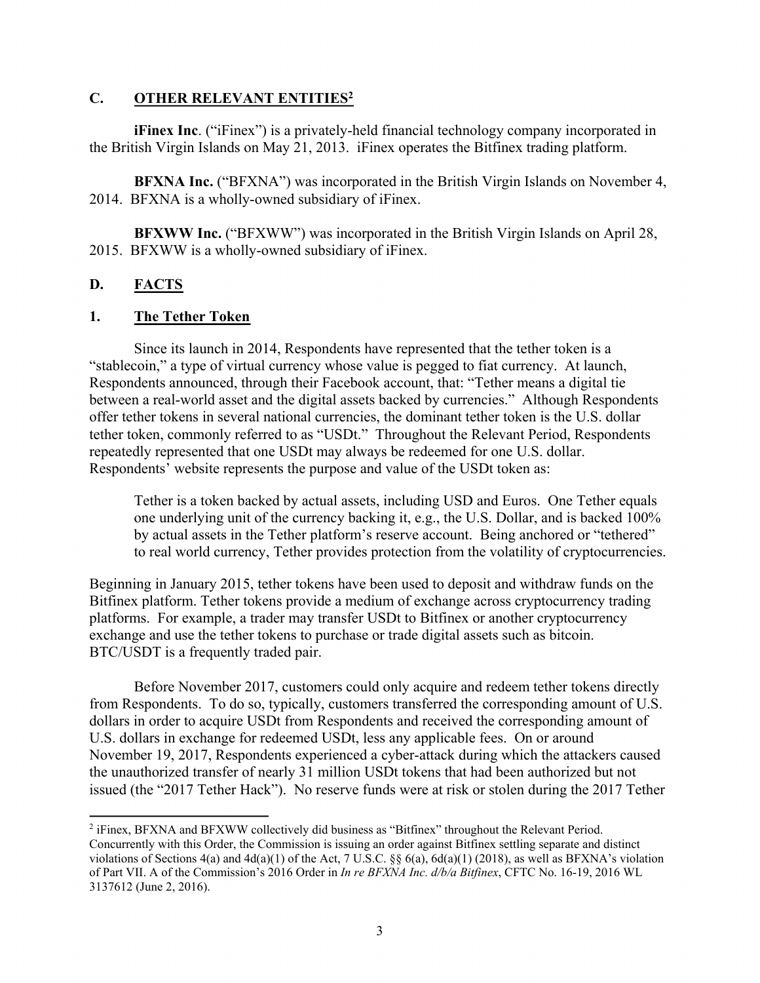### **C. OTHER RELEVANT ENTITIES2**

**iFinex Inc.** ("iFinex") is a privately-held financial technology company incorporated in the British Virgin Islands on May 21, 2013. iFinex operates the Bitfinex trading platform.

**BFXNA Inc.** ("BFXNA") was incorporated in the British Virgin Islands on November 4, 2014. BFXNA is a wholly-owned subsidiary of iFinex.

**BFXWW Inc.** ("BFXWW") was incorporated in the British Virgin Islands on April 28, 2015. BFXWW is a wholly-owned subsidiary of iFinex.

# **D. FACTS**

 $\overline{a}$ 

### **1. The Tether Token**

Since its launch in 2014, Respondents have represented that the tether token is a "stablecoin," a type of virtual currency whose value is pegged to fiat currency. At launch, Respondents announced, through their Facebook account, that: "Tether means a digital tie between a real-world asset and the digital assets backed by currencies." Although Respondents offer tether tokens in several national currencies, the dominant tether token is the U.S. dollar tether token, commonly referred to as "USDt." Throughout the Relevant Period, Respondents repeatedly represented that one USDt may always be redeemed for one U.S. dollar. Respondents' website represents the purpose and value of the USDt token as:

Tether is a token backed by actual assets, including USD and Euros. One Tether equals one underlying unit of the currency backing it, e.g., the U.S. Dollar, and is backed 100% by actual assets in the Tether platform's reserve account. Being anchored or "tethered" to real world currency, Tether provides protection from the volatility of cryptocurrencies.

Beginning in January 2015, tether tokens have been used to deposit and withdraw funds on the Bitfinex platform. Tether tokens provide a medium of exchange across cryptocurrency trading platforms. For example, a trader may transfer USDt to Bitfinex or another cryptocurrency exchange and use the tether tokens to purchase or trade digital assets such as bitcoin. BTC/USDT is a frequently traded pair.

Before November 2017, customers could only acquire and redeem tether tokens directly from Respondents. To do so, typically, customers transferred the corresponding amount of U.S. dollars in order to acquire USDt from Respondents and received the corresponding amount of U.S. dollars in exchange for redeemed USDt, less any applicable fees. On or around November 19, 2017, Respondents experienced a cyber-attack during which the attackers caused the unauthorized transfer of nearly 31 million USDt tokens that had been authorized but not issued (the "2017 Tether Hack"). No reserve funds were at risk or stolen during the 2017 Tether

<sup>&</sup>lt;sup>2</sup> iFinex, BFXNA and BFXWW collectively did business as "Bitfinex" throughout the Relevant Period. Concurrently with this Order, the Commission is issuing an order against Bitfinex settling separate and distinct violations of Sections  $4(a)$  and  $4d(a)(1)$  of the Act, 7 U.S.C. §§  $6(a)$ ,  $6d(a)(1)$  (2018), as well as BFXNA's violation of Part VII. A of the Commission's 2016 Order in *In re BFXNA Inc. d/b/a Bitfinex*, CFTC No. 16-19, 2016 WL 3137612 (June 2, 2016).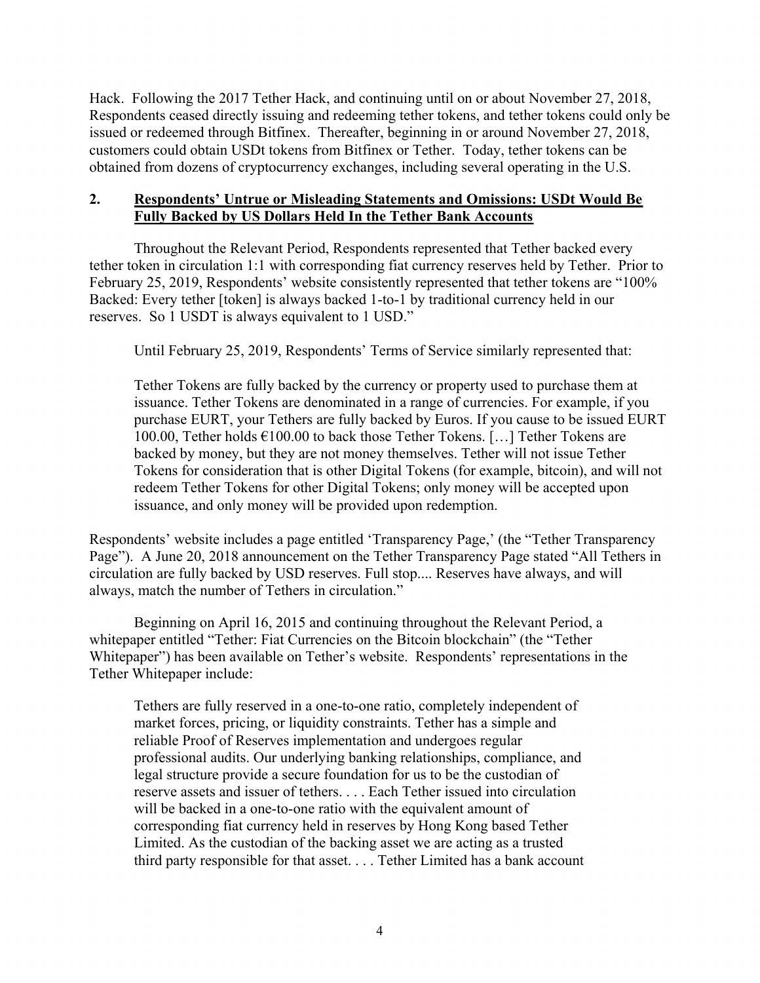Hack. Following the 2017 Tether Hack, and continuing until on or about November 27, 2018, Respondents ceased directly issuing and redeeming tether tokens, and tether tokens could only be issued or redeemed through Bitfinex. Thereafter, beginning in or around November 27, 2018, customers could obtain USDt tokens from Bitfinex or Tether. Today, tether tokens can be obtained from dozens of cryptocurrency exchanges, including several operating in the U.S.

# **2. Respondents' Untrue or Misleading Statements and Omissions: USDt Would Be Fully Backed by US Dollars Held In the Tether Bank Accounts**

Throughout the Relevant Period, Respondents represented that Tether backed every tether token in circulation 1:1 with corresponding fiat currency reserves held by Tether. Prior to February 25, 2019, Respondents' website consistently represented that tether tokens are "100% Backed: Every tether [token] is always backed 1-to-1 by traditional currency held in our reserves. So 1 USDT is always equivalent to 1 USD."

Until February 25, 2019, Respondents' Terms of Service similarly represented that:

Tether Tokens are fully backed by the currency or property used to purchase them at issuance. Tether Tokens are denominated in a range of currencies. For example, if you purchase EURT, your Tethers are fully backed by Euros. If you cause to be issued EURT 100.00, Tether holds €100.00 to back those Tether Tokens. […] Tether Tokens are backed by money, but they are not money themselves. Tether will not issue Tether Tokens for consideration that is other Digital Tokens (for example, bitcoin), and will not redeem Tether Tokens for other Digital Tokens; only money will be accepted upon issuance, and only money will be provided upon redemption.

Respondents' website includes a page entitled 'Transparency Page,' (the "Tether Transparency Page"). A June 20, 2018 announcement on the Tether Transparency Page stated "All Tethers in circulation are fully backed by USD reserves. Full stop.... Reserves have always, and will always, match the number of Tethers in circulation."

Beginning on April 16, 2015 and continuing throughout the Relevant Period, a whitepaper entitled "Tether: Fiat Currencies on the Bitcoin blockchain" (the "Tether Whitepaper") has been available on Tether's website. Respondents' representations in the Tether Whitepaper include:

Tethers are fully reserved in a one-to-one ratio, completely independent of market forces, pricing, or liquidity constraints. Tether has a simple and reliable Proof of Reserves implementation and undergoes regular professional audits. Our underlying banking relationships, compliance, and legal structure provide a secure foundation for us to be the custodian of reserve assets and issuer of tethers. . . . Each Tether issued into circulation will be backed in a one-to-one ratio with the equivalent amount of corresponding fiat currency held in reserves by Hong Kong based Tether Limited. As the custodian of the backing asset we are acting as a trusted third party responsible for that asset. . . . Tether Limited has a bank account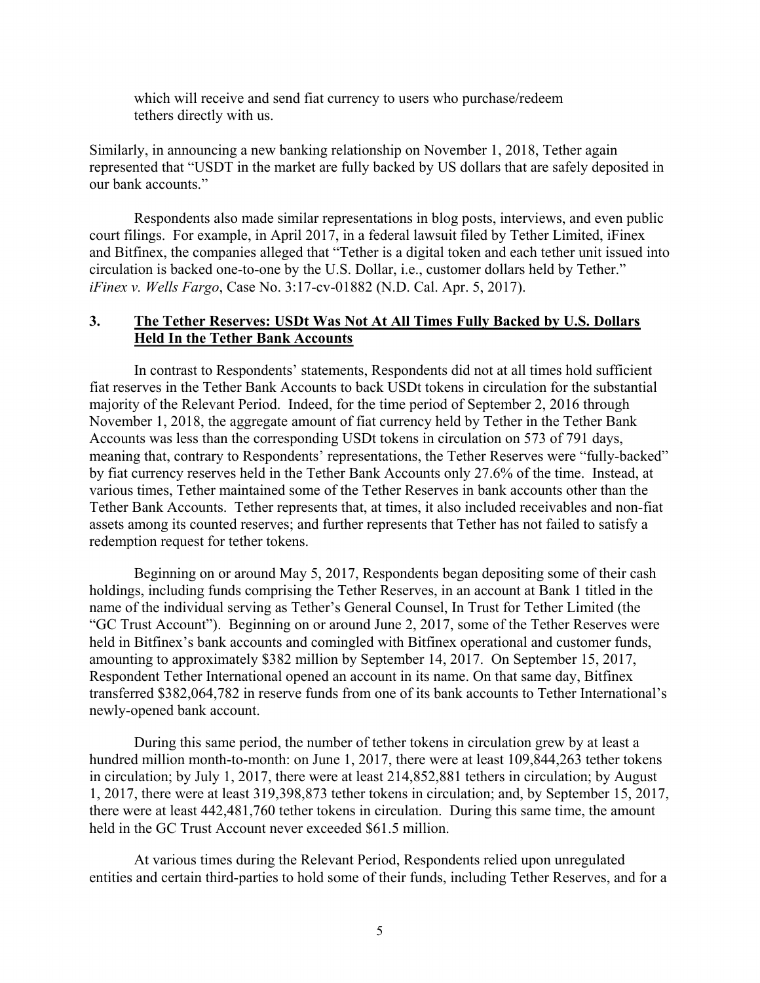which will receive and send fiat currency to users who purchase/redeem tethers directly with us.

Similarly, in announcing a new banking relationship on November 1, 2018, Tether again represented that "USDT in the market are fully backed by US dollars that are safely deposited in our bank accounts."

Respondents also made similar representations in blog posts, interviews, and even public court filings. For example, in April 2017, in a federal lawsuit filed by Tether Limited, iFinex and Bitfinex, the companies alleged that "Tether is a digital token and each tether unit issued into circulation is backed one-to-one by the U.S. Dollar, i.e., customer dollars held by Tether." *iFinex v. Wells Fargo*, Case No. 3:17-cv-01882 (N.D. Cal. Apr. 5, 2017).

# **3. The Tether Reserves: USDt Was Not At All Times Fully Backed by U.S. Dollars Held In the Tether Bank Accounts**

In contrast to Respondents' statements, Respondents did not at all times hold sufficient fiat reserves in the Tether Bank Accounts to back USDt tokens in circulation for the substantial majority of the Relevant Period. Indeed, for the time period of September 2, 2016 through November 1, 2018, the aggregate amount of fiat currency held by Tether in the Tether Bank Accounts was less than the corresponding USDt tokens in circulation on 573 of 791 days, meaning that, contrary to Respondents' representations, the Tether Reserves were "fully-backed" by fiat currency reserves held in the Tether Bank Accounts only 27.6% of the time. Instead, at various times, Tether maintained some of the Tether Reserves in bank accounts other than the Tether Bank Accounts. Tether represents that, at times, it also included receivables and non-fiat assets among its counted reserves; and further represents that Tether has not failed to satisfy a redemption request for tether tokens.

Beginning on or around May 5, 2017, Respondents began depositing some of their cash holdings, including funds comprising the Tether Reserves, in an account at Bank 1 titled in the name of the individual serving as Tether's General Counsel, In Trust for Tether Limited (the "GC Trust Account"). Beginning on or around June 2, 2017, some of the Tether Reserves were held in Bitfinex's bank accounts and comingled with Bitfinex operational and customer funds, amounting to approximately \$382 million by September 14, 2017. On September 15, 2017, Respondent Tether International opened an account in its name. On that same day, Bitfinex transferred \$382,064,782 in reserve funds from one of its bank accounts to Tether International's newly-opened bank account.

During this same period, the number of tether tokens in circulation grew by at least a hundred million month-to-month: on June 1, 2017, there were at least 109,844,263 tether tokens in circulation; by July 1, 2017, there were at least 214,852,881 tethers in circulation; by August 1, 2017, there were at least 319,398,873 tether tokens in circulation; and, by September 15, 2017, there were at least 442,481,760 tether tokens in circulation. During this same time, the amount held in the GC Trust Account never exceeded \$61.5 million.

At various times during the Relevant Period, Respondents relied upon unregulated entities and certain third-parties to hold some of their funds, including Tether Reserves, and for a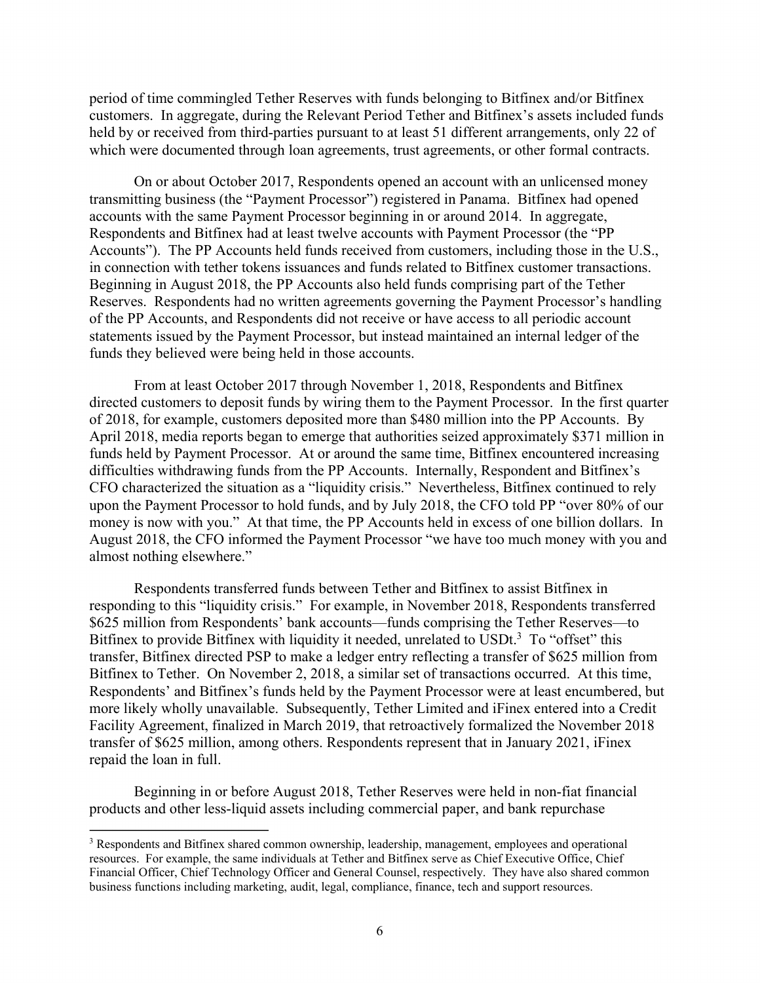period of time commingled Tether Reserves with funds belonging to Bitfinex and/or Bitfinex customers. In aggregate, during the Relevant Period Tether and Bitfinex's assets included funds held by or received from third-parties pursuant to at least 51 different arrangements, only 22 of which were documented through loan agreements, trust agreements, or other formal contracts.

On or about October 2017, Respondents opened an account with an unlicensed money transmitting business (the "Payment Processor") registered in Panama. Bitfinex had opened accounts with the same Payment Processor beginning in or around 2014. In aggregate, Respondents and Bitfinex had at least twelve accounts with Payment Processor (the "PP Accounts"). The PP Accounts held funds received from customers, including those in the U.S., in connection with tether tokens issuances and funds related to Bitfinex customer transactions. Beginning in August 2018, the PP Accounts also held funds comprising part of the Tether Reserves. Respondents had no written agreements governing the Payment Processor's handling of the PP Accounts, and Respondents did not receive or have access to all periodic account statements issued by the Payment Processor, but instead maintained an internal ledger of the funds they believed were being held in those accounts.

From at least October 2017 through November 1, 2018, Respondents and Bitfinex directed customers to deposit funds by wiring them to the Payment Processor. In the first quarter of 2018, for example, customers deposited more than \$480 million into the PP Accounts. By April 2018, media reports began to emerge that authorities seized approximately \$371 million in funds held by Payment Processor. At or around the same time, Bitfinex encountered increasing difficulties withdrawing funds from the PP Accounts. Internally, Respondent and Bitfinex's CFO characterized the situation as a "liquidity crisis." Nevertheless, Bitfinex continued to rely upon the Payment Processor to hold funds, and by July 2018, the CFO told PP "over 80% of our money is now with you." At that time, the PP Accounts held in excess of one billion dollars. In August 2018, the CFO informed the Payment Processor "we have too much money with you and almost nothing elsewhere."

Respondents transferred funds between Tether and Bitfinex to assist Bitfinex in responding to this "liquidity crisis." For example, in November 2018, Respondents transferred \$625 million from Respondents' bank accounts—funds comprising the Tether Reserves—to Bit finex to provide Bit finex with liquidity it needed, unrelated to USDt.<sup>3</sup> To "offset" this transfer, Bitfinex directed PSP to make a ledger entry reflecting a transfer of \$625 million from Bitfinex to Tether. On November 2, 2018, a similar set of transactions occurred. At this time, Respondents' and Bitfinex's funds held by the Payment Processor were at least encumbered, but more likely wholly unavailable. Subsequently, Tether Limited and iFinex entered into a Credit Facility Agreement, finalized in March 2019, that retroactively formalized the November 2018 transfer of \$625 million, among others. Respondents represent that in January 2021, iFinex repaid the loan in full.

Beginning in or before August 2018, Tether Reserves were held in non-fiat financial products and other less-liquid assets including commercial paper, and bank repurchase

 $\overline{a}$ 

<sup>&</sup>lt;sup>3</sup> Respondents and Bitfinex shared common ownership, leadership, management, employees and operational resources. For example, the same individuals at Tether and Bitfinex serve as Chief Executive Office, Chief Financial Officer, Chief Technology Officer and General Counsel, respectively. They have also shared common business functions including marketing, audit, legal, compliance, finance, tech and support resources.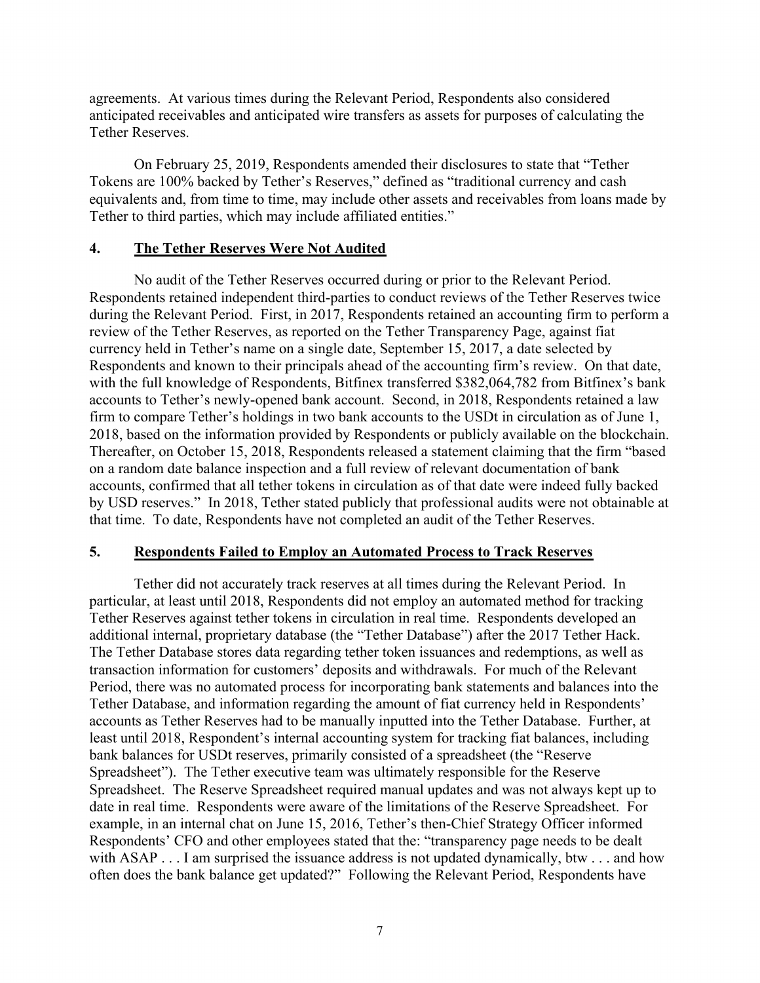agreements. At various times during the Relevant Period, Respondents also considered anticipated receivables and anticipated wire transfers as assets for purposes of calculating the Tether Reserves.

On February 25, 2019, Respondents amended their disclosures to state that "Tether Tokens are 100% backed by Tether's Reserves," defined as "traditional currency and cash equivalents and, from time to time, may include other assets and receivables from loans made by Tether to third parties, which may include affiliated entities."

#### **4. The Tether Reserves Were Not Audited**

No audit of the Tether Reserves occurred during or prior to the Relevant Period. Respondents retained independent third-parties to conduct reviews of the Tether Reserves twice during the Relevant Period. First, in 2017, Respondents retained an accounting firm to perform a review of the Tether Reserves, as reported on the Tether Transparency Page, against fiat currency held in Tether's name on a single date, September 15, 2017, a date selected by Respondents and known to their principals ahead of the accounting firm's review. On that date, with the full knowledge of Respondents, Bitfinex transferred \$382,064,782 from Bitfinex's bank accounts to Tether's newly-opened bank account. Second, in 2018, Respondents retained a law firm to compare Tether's holdings in two bank accounts to the USDt in circulation as of June 1, 2018, based on the information provided by Respondents or publicly available on the blockchain. Thereafter, on October 15, 2018, Respondents released a statement claiming that the firm "based on a random date balance inspection and a full review of relevant documentation of bank accounts, confirmed that all tether tokens in circulation as of that date were indeed fully backed by USD reserves." In 2018, Tether stated publicly that professional audits were not obtainable at that time. To date, Respondents have not completed an audit of the Tether Reserves.

### **5. Respondents Failed to Employ an Automated Process to Track Reserves**

Tether did not accurately track reserves at all times during the Relevant Period. In particular, at least until 2018, Respondents did not employ an automated method for tracking Tether Reserves against tether tokens in circulation in real time. Respondents developed an additional internal, proprietary database (the "Tether Database") after the 2017 Tether Hack. The Tether Database stores data regarding tether token issuances and redemptions, as well as transaction information for customers' deposits and withdrawals. For much of the Relevant Period, there was no automated process for incorporating bank statements and balances into the Tether Database, and information regarding the amount of fiat currency held in Respondents' accounts as Tether Reserves had to be manually inputted into the Tether Database. Further, at least until 2018, Respondent's internal accounting system for tracking fiat balances, including bank balances for USDt reserves, primarily consisted of a spreadsheet (the "Reserve Spreadsheet"). The Tether executive team was ultimately responsible for the Reserve Spreadsheet. The Reserve Spreadsheet required manual updates and was not always kept up to date in real time. Respondents were aware of the limitations of the Reserve Spreadsheet. For example, in an internal chat on June 15, 2016, Tether's then-Chief Strategy Officer informed Respondents' CFO and other employees stated that the: "transparency page needs to be dealt with ASAP . . . I am surprised the issuance address is not updated dynamically, btw . . . and how often does the bank balance get updated?" Following the Relevant Period, Respondents have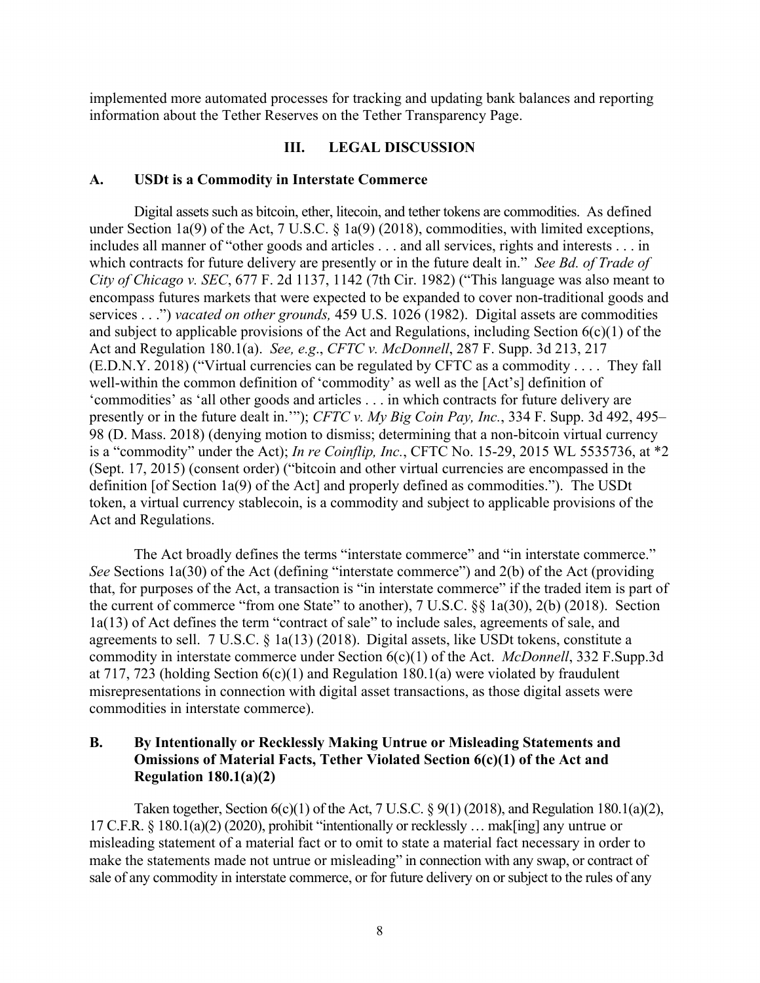implemented more automated processes for tracking and updating bank balances and reporting information about the Tether Reserves on the Tether Transparency Page.

#### **III. LEGAL DISCUSSION**

#### **A. USDt is a Commodity in Interstate Commerce**

Digital assets such as bitcoin, ether, litecoin, and tether tokens are commodities. As defined under Section 1a(9) of the Act, 7 U.S.C. § 1a(9) (2018), commodities, with limited exceptions, includes all manner of "other goods and articles . . . and all services, rights and interests . . . in which contracts for future delivery are presently or in the future dealt in." *See Bd. of Trade of City of Chicago v. SEC*, 677 F. 2d 1137, 1142 (7th Cir. 1982) ("This language was also meant to encompass futures markets that were expected to be expanded to cover non-traditional goods and services . . .") *vacated on other grounds,* 459 U.S. 1026 (1982). Digital assets are commodities and subject to applicable provisions of the Act and Regulations, including Section 6(c)(1) of the Act and Regulation 180.1(a). *See, e.g*., *CFTC v. McDonnell*, 287 F. Supp. 3d 213, 217 (E.D.N.Y. 2018) ("Virtual currencies can be regulated by CFTC as a commodity . . . . They fall well-within the common definition of 'commodity' as well as the [Act's] definition of 'commodities' as 'all other goods and articles . . . in which contracts for future delivery are presently or in the future dealt in.'"); *CFTC v. My Big Coin Pay, Inc.*, 334 F. Supp. 3d 492, 495– 98 (D. Mass. 2018) (denying motion to dismiss; determining that a non-bitcoin virtual currency is a "commodity" under the Act); *In re Coinflip, Inc.*, CFTC No. 15-29, 2015 WL 5535736, at \*2 (Sept. 17, 2015) (consent order) ("bitcoin and other virtual currencies are encompassed in the definition [of Section 1a(9) of the Act] and properly defined as commodities."). The USDt token, a virtual currency stablecoin, is a commodity and subject to applicable provisions of the Act and Regulations.

The Act broadly defines the terms "interstate commerce" and "in interstate commerce." *See* Sections 1a(30) of the Act (defining "interstate commerce") and 2(b) of the Act (providing that, for purposes of the Act, a transaction is "in interstate commerce" if the traded item is part of the current of commerce "from one State" to another), 7 U.S.C. §§ 1a(30), 2(b) (2018). Section 1a(13) of Act defines the term "contract of sale" to include sales, agreements of sale, and agreements to sell. 7 U.S.C. § 1a(13) (2018). Digital assets, like USDt tokens, constitute a commodity in interstate commerce under Section 6(c)(1) of the Act. *McDonnell*, 332 F.Supp.3d at 717, 723 (holding Section  $6(c)(1)$  and Regulation 180.1(a) were violated by fraudulent misrepresentations in connection with digital asset transactions, as those digital assets were commodities in interstate commerce).

# **B. By Intentionally or Recklessly Making Untrue or Misleading Statements and Omissions of Material Facts, Tether Violated Section 6(c)(1) of the Act and Regulation 180.1(a)(2)**

Taken together, Section  $6(c)(1)$  of the Act, 7 U.S.C. § 9(1) (2018), and Regulation 180.1(a)(2), 17 C.F.R. § 180.1(a)(2) (2020), prohibit "intentionally or recklessly … mak[ing] any untrue or misleading statement of a material fact or to omit to state a material fact necessary in order to make the statements made not untrue or misleading" in connection with any swap, or contract of sale of any commodity in interstate commerce, or for future delivery on or subject to the rules of any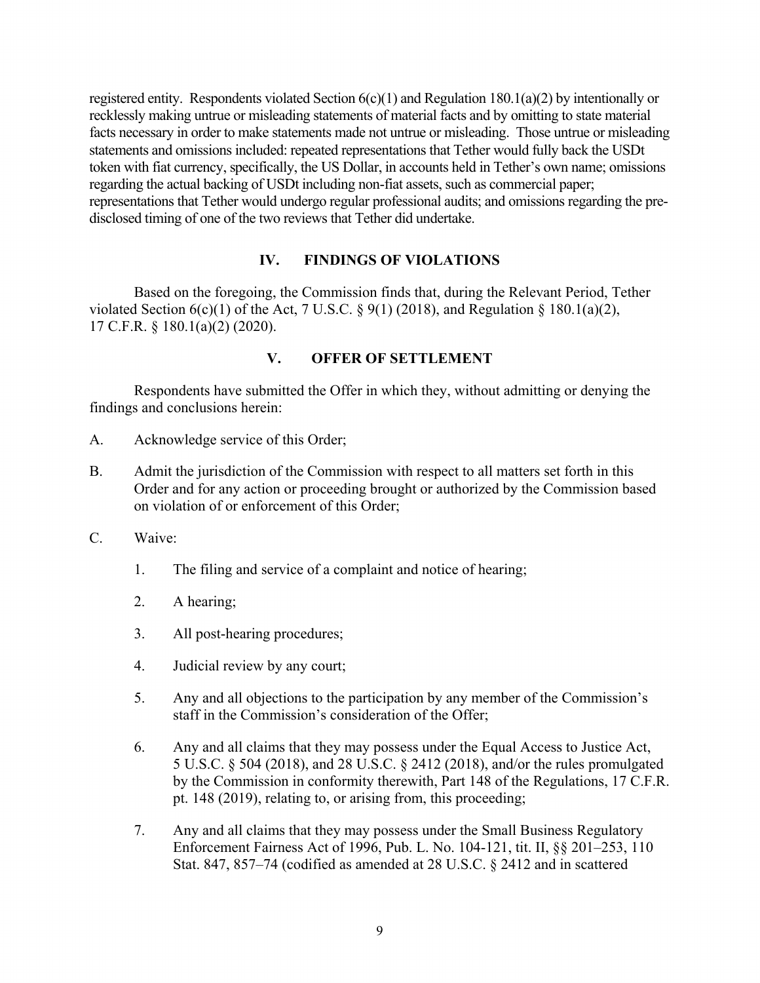registered entity. Respondents violated Section  $6(c)(1)$  and Regulation 180.1(a)(2) by intentionally or recklessly making untrue or misleading statements of material facts and by omitting to state material facts necessary in order to make statements made not untrue or misleading. Those untrue or misleading statements and omissions included: repeated representations that Tether would fully back the USDt token with fiat currency, specifically, the US Dollar, in accounts held in Tether's own name; omissions regarding the actual backing of USDt including non-fiat assets, such as commercial paper; representations that Tether would undergo regular professional audits; and omissions regarding the predisclosed timing of one of the two reviews that Tether did undertake.

# **IV. FINDINGS OF VIOLATIONS**

Based on the foregoing, the Commission finds that, during the Relevant Period, Tether violated Section  $6(c)(1)$  of the Act, 7 U.S.C. § 9(1) (2018), and Regulation § 180.1(a)(2), 17 C.F.R. § 180.1(a)(2) (2020).

# **V. OFFER OF SETTLEMENT**

Respondents have submitted the Offer in which they, without admitting or denying the findings and conclusions herein:

- A. Acknowledge service of this Order;
- B. Admit the jurisdiction of the Commission with respect to all matters set forth in this Order and for any action or proceeding brought or authorized by the Commission based on violation of or enforcement of this Order;
- C. Waive:
	- 1. The filing and service of a complaint and notice of hearing;
	- 2. A hearing;
	- 3. All post-hearing procedures;
	- 4. Judicial review by any court;
	- 5. Any and all objections to the participation by any member of the Commission's staff in the Commission's consideration of the Offer;
	- 6. Any and all claims that they may possess under the Equal Access to Justice Act, 5 U.S.C. § 504 (2018), and 28 U.S.C. § 2412 (2018), and/or the rules promulgated by the Commission in conformity therewith, Part 148 of the Regulations, 17 C.F.R. pt. 148 (2019), relating to, or arising from, this proceeding;
	- 7. Any and all claims that they may possess under the Small Business Regulatory Enforcement Fairness Act of 1996, Pub. L. No. 104-121, tit. II, §§ 201–253, 110 Stat. 847, 857–74 (codified as amended at 28 U.S.C. § 2412 and in scattered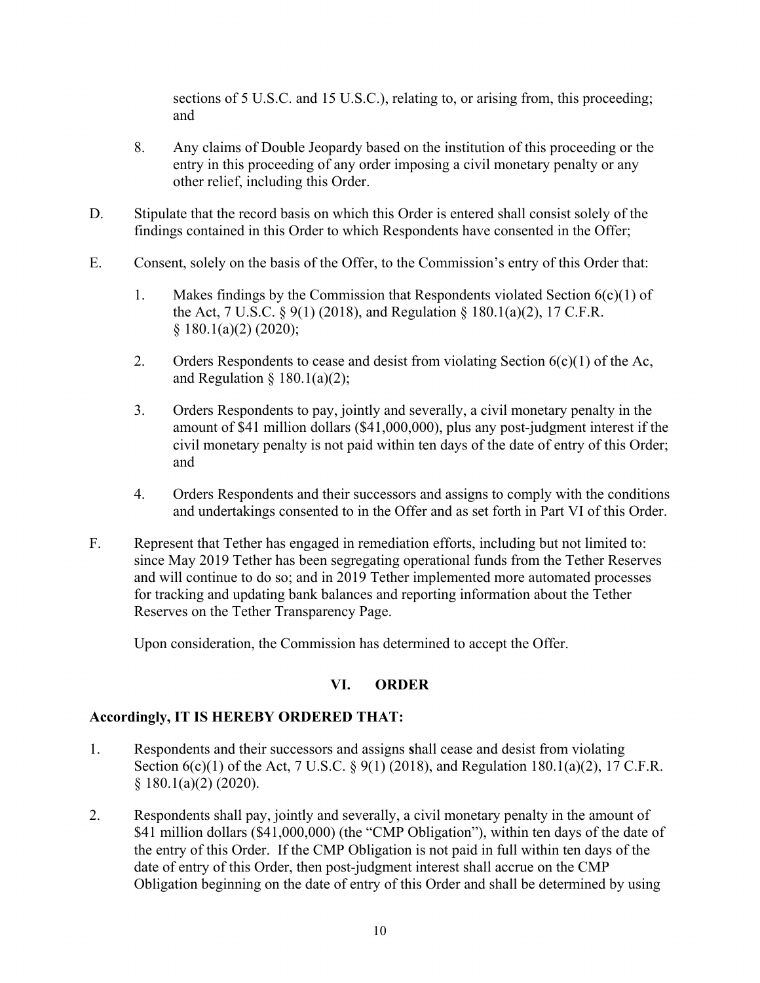sections of 5 U.S.C. and 15 U.S.C.), relating to, or arising from, this proceeding; and

- 8. Any claims of Double Jeopardy based on the institution of this proceeding or the entry in this proceeding of any order imposing a civil monetary penalty or any other relief, including this Order.
- D. Stipulate that the record basis on which this Order is entered shall consist solely of the findings contained in this Order to which Respondents have consented in the Offer;
- E. Consent, solely on the basis of the Offer, to the Commission's entry of this Order that:
	- 1. Makes findings by the Commission that Respondents violated Section  $6(c)(1)$  of the Act, 7 U.S.C. § 9(1) (2018), and Regulation § 180.1(a)(2), 17 C.F.R.  $§ 180.1(a)(2) (2020);$
	- 2. Orders Respondents to cease and desist from violating Section  $6(c)(1)$  of the Ac, and Regulation  $§$  180.1(a)(2);
	- 3. Orders Respondents to pay, jointly and severally, a civil monetary penalty in the amount of \$41 million dollars (\$41,000,000), plus any post-judgment interest if the civil monetary penalty is not paid within ten days of the date of entry of this Order; and
	- 4. Orders Respondents and their successors and assigns to comply with the conditions and undertakings consented to in the Offer and as set forth in Part VI of this Order.
- F. Represent that Tether has engaged in remediation efforts, including but not limited to: since May 2019 Tether has been segregating operational funds from the Tether Reserves and will continue to do so; and in 2019 Tether implemented more automated processes for tracking and updating bank balances and reporting information about the Tether Reserves on the Tether Transparency Page.

Upon consideration, the Commission has determined to accept the Offer.

# **VI. ORDER**

# **Accordingly, IT IS HEREBY ORDERED THAT:**

- 1. Respondents and their successors and assigns **s**hall cease and desist from violating Section 6(c)(1) of the Act, 7 U.S.C. § 9(1) (2018), and Regulation 180.1(a)(2), 17 C.F.R. § 180.1(a)(2) (2020).
- 2. Respondents shall pay, jointly and severally, a civil monetary penalty in the amount of \$41 million dollars (\$41,000,000) (the "CMP Obligation"), within ten days of the date of the entry of this Order. If the CMP Obligation is not paid in full within ten days of the date of entry of this Order, then post-judgment interest shall accrue on the CMP Obligation beginning on the date of entry of this Order and shall be determined by using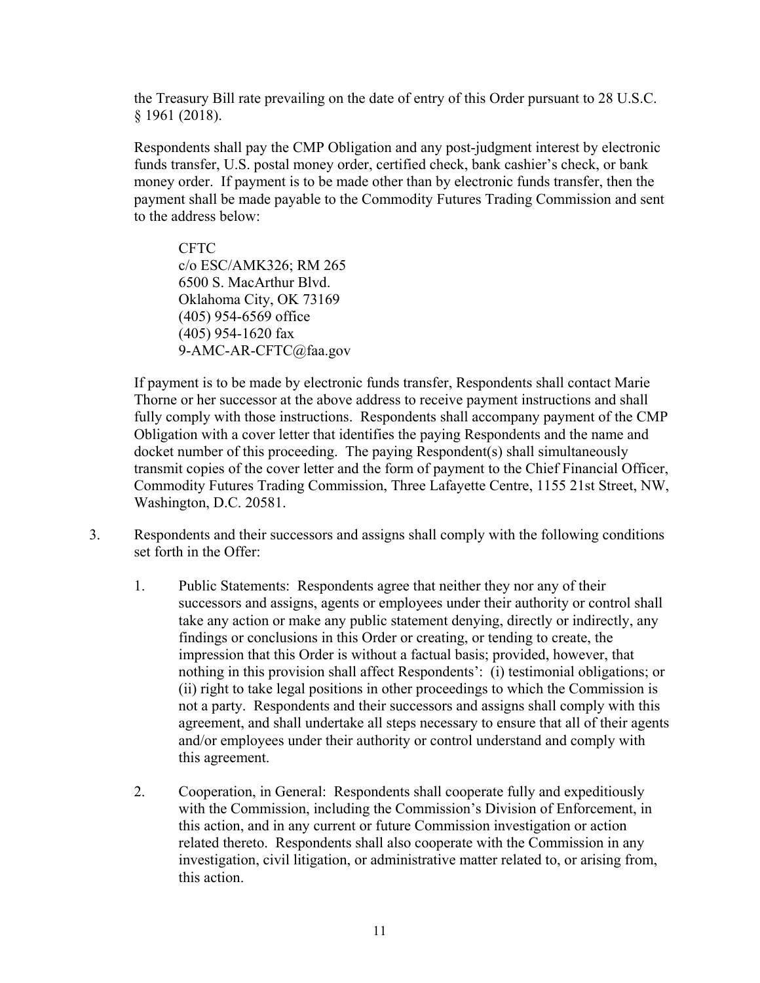the Treasury Bill rate prevailing on the date of entry of this Order pursuant to 28 U.S.C. § 1961 (2018).

Respondents shall pay the CMP Obligation and any post-judgment interest by electronic funds transfer, U.S. postal money order, certified check, bank cashier's check, or bank money order. If payment is to be made other than by electronic funds transfer, then the payment shall be made payable to the Commodity Futures Trading Commission and sent to the address below:

CFTC c/o ESC/AMK326; RM 265 6500 S. MacArthur Blvd. Oklahoma City, OK 73169 (405) 954-6569 office (405) 954-1620 fax 9-AMC-AR-CFTC@faa.gov

If payment is to be made by electronic funds transfer, Respondents shall contact Marie Thorne or her successor at the above address to receive payment instructions and shall fully comply with those instructions. Respondents shall accompany payment of the CMP Obligation with a cover letter that identifies the paying Respondents and the name and docket number of this proceeding. The paying Respondent(s) shall simultaneously transmit copies of the cover letter and the form of payment to the Chief Financial Officer, Commodity Futures Trading Commission, Three Lafayette Centre, 1155 21st Street, NW, Washington, D.C. 20581.

- 3. Respondents and their successors and assigns shall comply with the following conditions set forth in the Offer:
	- 1. Public Statements: Respondents agree that neither they nor any of their successors and assigns, agents or employees under their authority or control shall take any action or make any public statement denying, directly or indirectly, any findings or conclusions in this Order or creating, or tending to create, the impression that this Order is without a factual basis; provided, however, that nothing in this provision shall affect Respondents': (i) testimonial obligations; or (ii) right to take legal positions in other proceedings to which the Commission is not a party. Respondents and their successors and assigns shall comply with this agreement, and shall undertake all steps necessary to ensure that all of their agents and/or employees under their authority or control understand and comply with this agreement.
	- 2. Cooperation, in General: Respondents shall cooperate fully and expeditiously with the Commission, including the Commission's Division of Enforcement, in this action, and in any current or future Commission investigation or action related thereto. Respondents shall also cooperate with the Commission in any investigation, civil litigation, or administrative matter related to, or arising from, this action.